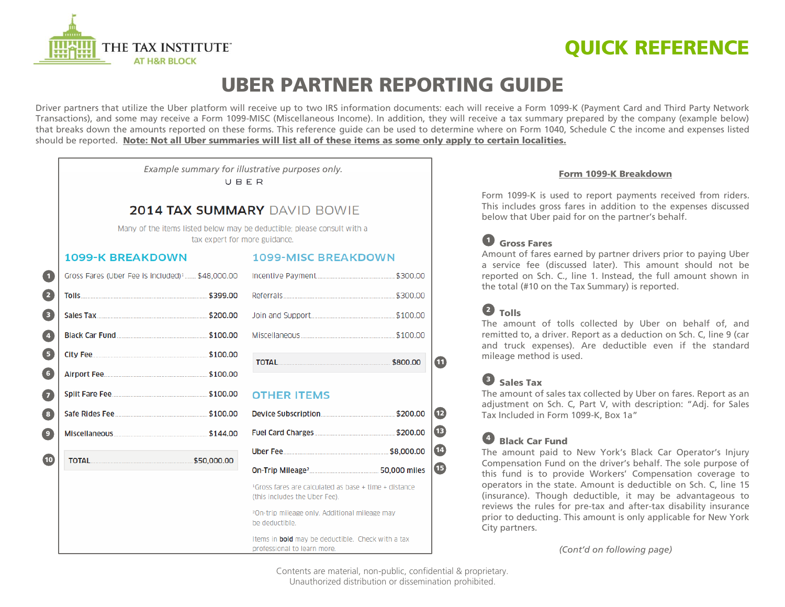

# **QUICK REFERENCE**

# **UBER PARTNER REPORTING GUIDE**

Driver partners that utilize the Uber platform will receive up to two IRS information documents: each will receive a Form 1099-K (Payment Card and Third Party Network Transactions), and some may receive a Form 1099-MISC (Miscellaneous Income). In addition, they will receive a tax summary prepared by the company (example below) that breaks down the amounts reported on these forms. This reference guide can be used to determine where on Form 1040, Schedule C the income and expenses listed should be reported. **Note: Not all Uber summaries will list all of these items as some only apply to certain localities.**

> *Example summary for illustrative purposes only.*URFR

### **2014 TAX SUMMARY DAVID BOWIE**

Many of the items listed below may be deductible; please consult with a tax expert for more guidance.

#### **1099-K BREAKDOWN**

#### **1099-MISC BREAKDOWN**

| $\blacksquare$                                 | Gross Fares (Uber Fee is included) <sup>1</sup> \$48,000.00                 |  |                                                                                                    |  |
|------------------------------------------------|-----------------------------------------------------------------------------|--|----------------------------------------------------------------------------------------------------|--|
| 2                                              |                                                                             |  |                                                                                                    |  |
| 8                                              | Sales Tax 200.00                                                            |  |                                                                                                    |  |
| O                                              |                                                                             |  |                                                                                                    |  |
| 6                                              |                                                                             |  | TOTAL 5800.00                                                                                      |  |
| $\bullet$                                      |                                                                             |  |                                                                                                    |  |
| 2                                              |                                                                             |  | <b>OTHER ITEMS</b>                                                                                 |  |
| $\left( \begin{matrix} 3 \end{matrix} \right)$ |                                                                             |  |                                                                                                    |  |
| $\boxed{9}$                                    | Miscellaneous 2008 Miscellaneous 2008 Miscellaneous 2008 Miscellaneous 2014 |  |                                                                                                    |  |
| $\bullet$                                      | TOTAL 550,000.00                                                            |  |                                                                                                    |  |
|                                                |                                                                             |  |                                                                                                    |  |
|                                                |                                                                             |  | <sup>1</sup> Gross fares are calculated as base + time + distance<br>(this includes the Uber Fee). |  |
|                                                |                                                                             |  |                                                                                                    |  |

20n-trip mileage only. Additional mileage may be deductible.

Items in **bold** may be deductible. Check with a tax professional to learn more.

#### **Form 1099-K Breakdown**

Form 1099-K is used to report payments received from riders. This includes gross fares in addition to the expenses discussed below that Uber paid for on the partner's behalf.

## **Gross Fares 1**

Amount of fares earned by partner drivers prior to paying Uber a service fee (discussed later). This amount should not be reported on Sch. C., line 1. Instead, the full amount shown in the total (#10 on the Tax Summary) is reported.

### **Tolls 2**

**11**

The amount of tolls collected by Uber on behalf of, and remitted to, a driver. Report as a deduction on Sch. C, line 9 (car and truck expenses). Are deductible even if the standard mileage method is used.

### **Sales Tax 3**

The amount of sales tax collected by Uber on fares. Report as an adjustment on Sch. C, Part V, with description: "Adj. for Sales Tax Included in Form 1099-K, Box 1a"

### **Black Car Fund 4**

The amount paid to New York's Black Car Operator's Injury Compensation Fund on the driver's behalf. The sole purpose of this fund is to provide Workers' Compensation coverage to operators in the state. Amount is deductible on Sch. C, line 15 (insurance). Though deductible, it may be advantageous to reviews the rules for pre-tax and after-tax disability insurance prior to deducting. This amount is only applicable for New York City partners.

*(Cont'd on following page)*

Contents are material, non-public, confidential & proprietary. Unauthorized distribution or dissemination prohibited.